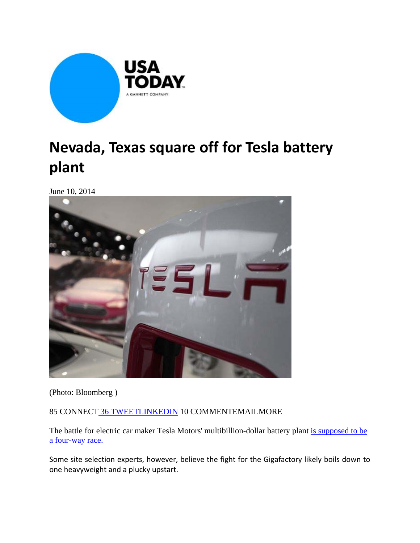

## **Nevada, Texas square off for Tesla battery plant**

June 10, 2014



(Photo: Bloomberg )

85 CONNECT 36 TWEETLINKEDIN 10 COMMENTEMAILMORE

The battle for electric car maker Tesla Motors' multibillion-dollar battery plant is supposed to be a four-way race.

Some site selection experts, however, believe the fight for the Gigafactory likely boils down to one heavyweight and a plucky upstart.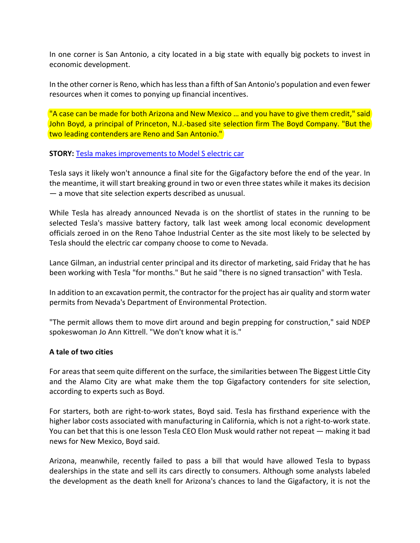In one corner is San Antonio, a city located in a big state with equally big pockets to invest in economic development.

In the other corner is Reno, which has less than a fifth of San Antonio's population and even fewer resources when it comes to ponying up financial incentives.

"A case can be made for both Arizona and New Mexico ... and you have to give them credit," said John Boyd, a principal of Princeton, N.J.-based site selection firm The Boyd Company. "But the two leading contenders are Reno and San Antonio."

## **STORY:** Tesla makes improvements to Model S electric car

Tesla says it likely won't announce a final site for the Gigafactory before the end of the year. In the meantime, it will start breaking ground in two or even three states while it makes its decision — a move that site selection experts described as unusual.

While Tesla has already announced Nevada is on the shortlist of states in the running to be selected Tesla's massive battery factory, talk last week among local economic development officials zeroed in on the Reno Tahoe Industrial Center as the site most likely to be selected by Tesla should the electric car company choose to come to Nevada.

Lance Gilman, an industrial center principal and its director of marketing, said Friday that he has been working with Tesla "for months." But he said "there is no signed transaction" with Tesla.

In addition to an excavation permit, the contractor for the project has air quality and storm water permits from Nevada's Department of Environmental Protection.

"The permit allows them to move dirt around and begin prepping for construction," said NDEP spokeswoman Jo Ann Kittrell. "We don't know what it is."

## **A tale of two cities**

For areas that seem quite different on the surface, the similarities between The Biggest Little City and the Alamo City are what make them the top Gigafactory contenders for site selection, according to experts such as Boyd.

For starters, both are right‐to‐work states, Boyd said. Tesla has firsthand experience with the higher labor costs associated with manufacturing in California, which is not a right-to-work state. You can bet that this is one lesson Tesla CEO Elon Musk would rather not repeat — making it bad news for New Mexico, Boyd said.

Arizona, meanwhile, recently failed to pass a bill that would have allowed Tesla to bypass dealerships in the state and sell its cars directly to consumers. Although some analysts labeled the development as the death knell for Arizona's chances to land the Gigafactory, it is not the